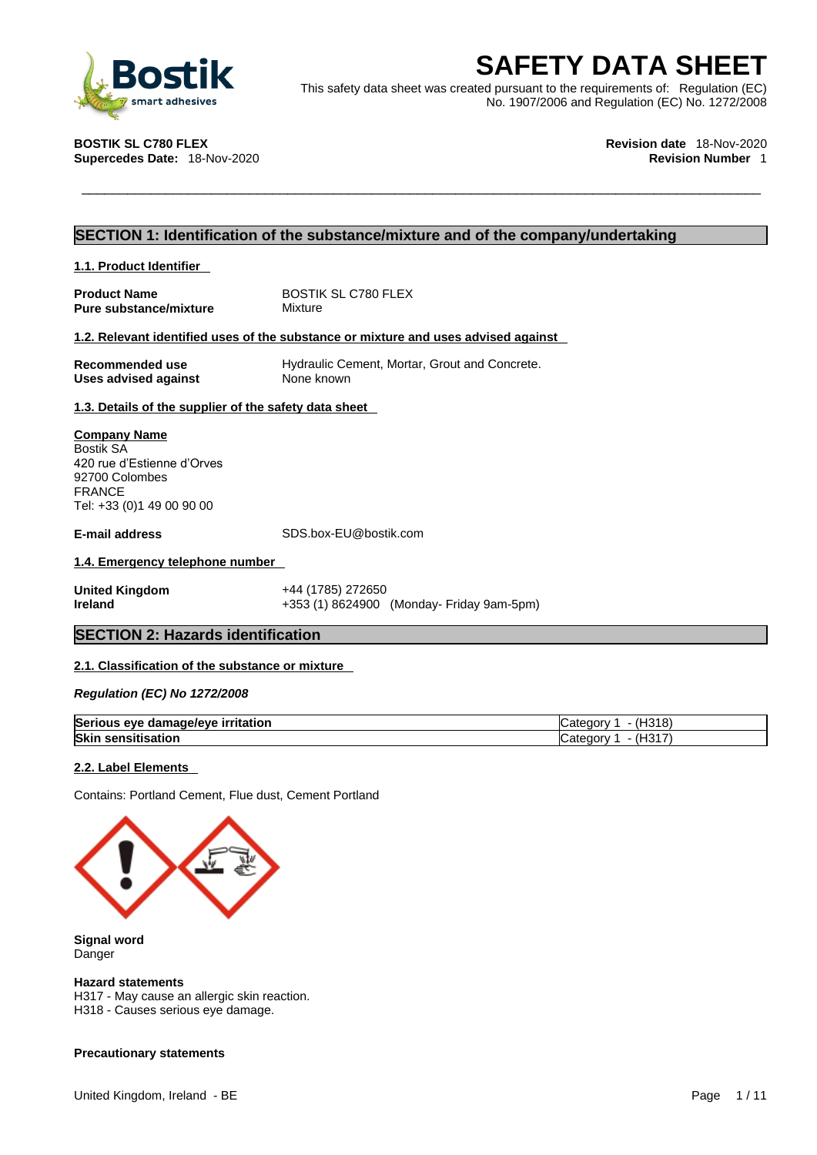

**ESAFETY DATA SHEET**<br>
This safety data sheet was created pursuant to the requirements of: Regulation (EC)<br>
No. 1907/2006 and Regulation (EC) No. 1272/2008<br>
No. 1907/2006 and Regulation (EC) No. 1272/2008<br>
Revision date 18-This safety data sheet was created pursuant to the requirements of: Regulation (EC) No. 1907/2006 and Regulation (EC) No. 1272/2008

**Supercedes Date: 18-Nov-2020** 

**BOSTIK SL C780 FLEX Revision date** 18-Nov-2020

### **SECTION 1: Identification of the substance/mixture and of the company/undertaking**

| 1.1. Product Identifier                                                                                                        |                                                                                    |
|--------------------------------------------------------------------------------------------------------------------------------|------------------------------------------------------------------------------------|
| <b>Product Name</b><br><b>Pure substance/mixture</b>                                                                           | <b>BOSTIK SL C780 FLEX</b><br>Mixture                                              |
|                                                                                                                                | 1.2. Relevant identified uses of the substance or mixture and uses advised against |
| Recommended use<br>Uses advised against                                                                                        | Hydraulic Cement, Mortar, Grout and Concrete.<br>None known                        |
| 1.3. Details of the supplier of the safety data sheet                                                                          |                                                                                    |
| <b>Company Name</b><br>Bostik SA<br>420 rue d'Estienne d'Orves<br>92700 Colombes<br><b>FRANCE</b><br>Tel: +33 (0)1 49 00 90 00 |                                                                                    |
| <b>E-mail address</b>                                                                                                          | SDS.box-EU@bostik.com                                                              |
| 1.4. Emergency telephone number                                                                                                |                                                                                    |
| <b>United Kingdom</b><br>Ireland                                                                                               | +44 (1785) 272650<br>+353 (1) 8624900 (Monday- Friday 9am-5pm)                     |

#### **SECTION 2: Hazards identification**

#### **2.1. Classification of the substance or mixture**

*Regulation (EC) No 1272/2008* 

| <b>Serious</b><br>irritation<br>AVA<br>amagalawa<br>้ ตลเ<br>$\cdot$ | 1040<br>$\cdot$ 10 11 $\vee$ |
|----------------------------------------------------------------------|------------------------------|
| Skin                                                                 | $\Box$                       |
|                                                                      | דר                           |
| ----                                                                 | .aorv                        |
| isation                                                              | ن ا                          |

#### **2.2. Label Elements**

Contains: Portland Cement, Flue dust, Cement Portland



**Signal word** Danger

#### **Hazard statements**

H317 - May cause an allergic skin reaction. H318 - Causes serious eye damage.

#### **Precautionary statements**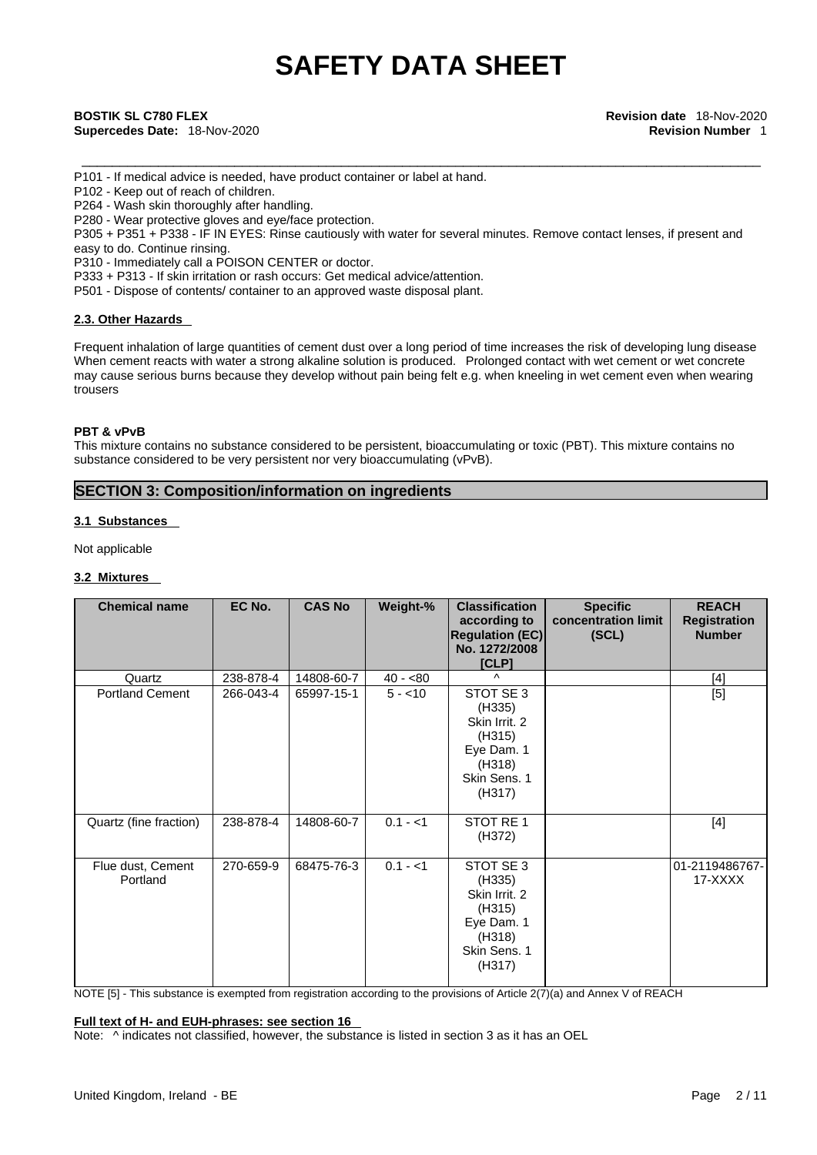\_\_\_\_\_\_\_\_\_\_\_\_\_\_\_\_\_\_\_\_\_\_\_\_\_\_\_\_\_\_\_\_\_\_\_\_\_\_\_\_\_\_\_\_\_\_\_\_\_\_\_\_\_\_\_\_\_\_\_\_\_\_\_\_\_\_\_\_\_\_\_\_\_\_\_\_\_\_\_\_\_\_\_\_\_\_\_\_\_ **BOSTIK SL C780 FLEX Revision date** 18-Nov-2020 **Supercedes Date:** 18-Nov-2020 **Revision Number** 1

P101 - If medical advice is needed, have product container or label at hand.

P102 - Keep out of reach of children.

P264 - Wash skin thoroughly after handling.

P280 - Wear protective gloves and eye/face protection.

P305 + P351 + P338 - IF IN EYES: Rinse cautiously with water for several minutes. Remove contact lenses, if present and easy to do. Continue rinsing.

P310 - Immediately call a POISON CENTER or doctor.

P333 + P313 - If skin irritation or rash occurs: Get medical advice/attention.

P501 - Dispose of contents/ container to an approved waste disposal plant.

#### **2.3. Other Hazards**

Frequent inhalation of large quantities of cement dust over a long period of time increases the risk of developing lung disease When cement reacts with water a strong alkaline solution is produced. Prolonged contact with wet cement or wet concrete may cause serious burns because they develop without pain being felt e.g. when kneeling in wet cement even when wearing trousers

#### **PBT & vPvB**

This mixture contains no substance considered to be persistent, bioaccumulating or toxic (PBT). This mixture contains no substance considered to be very persistent nor very bioaccumulating (vPvB).

#### **SECTION 3: Composition/information on ingredients**

#### **3.1 Substances**

Not applicable

#### **3.2 Mixtures**

| <b>Chemical name</b>          | EC No.    | <b>CAS No</b> | Weight-%  | <b>Classification</b><br>according to<br><b>Regulation (EC)</b><br>No. 1272/2008<br>[CLP]        | <b>Specific</b><br>concentration limit<br>(SCL) | <b>REACH</b><br><b>Registration</b><br><b>Number</b> |
|-------------------------------|-----------|---------------|-----------|--------------------------------------------------------------------------------------------------|-------------------------------------------------|------------------------------------------------------|
| Quartz                        | 238-878-4 | 14808-60-7    | $40 - 80$ | Λ                                                                                                |                                                 | [4]                                                  |
| <b>Portland Cement</b>        | 266-043-4 | 65997-15-1    | $5 - 10$  | STOT SE 3<br>(H335)<br>Skin Irrit. 2<br>(H315)<br>Eye Dam. 1<br>(H318)<br>Skin Sens. 1<br>(H317) |                                                 | $[5]$                                                |
| Quartz (fine fraction)        | 238-878-4 | 14808-60-7    | $0.1 - 1$ | STOT RE 1<br>(H372)                                                                              |                                                 | $[4]$                                                |
| Flue dust, Cement<br>Portland | 270-659-9 | 68475-76-3    | $0.1 - 1$ | STOT SE 3<br>(H335)<br>Skin Irrit. 2<br>(H315)<br>Eye Dam. 1<br>(H318)<br>Skin Sens. 1<br>(H317) |                                                 | 01-2119486767-<br>17-XXXX                            |

NOTE [5] - This substance is exempted from registration according to the provisions of Article 2(7)(a) and Annex V of REACH

### **Full text of H- and EUH-phrases: see section 16**

Note:  $\wedge$  indicates not classified, however, the substance is listed in section 3 as it has an OEL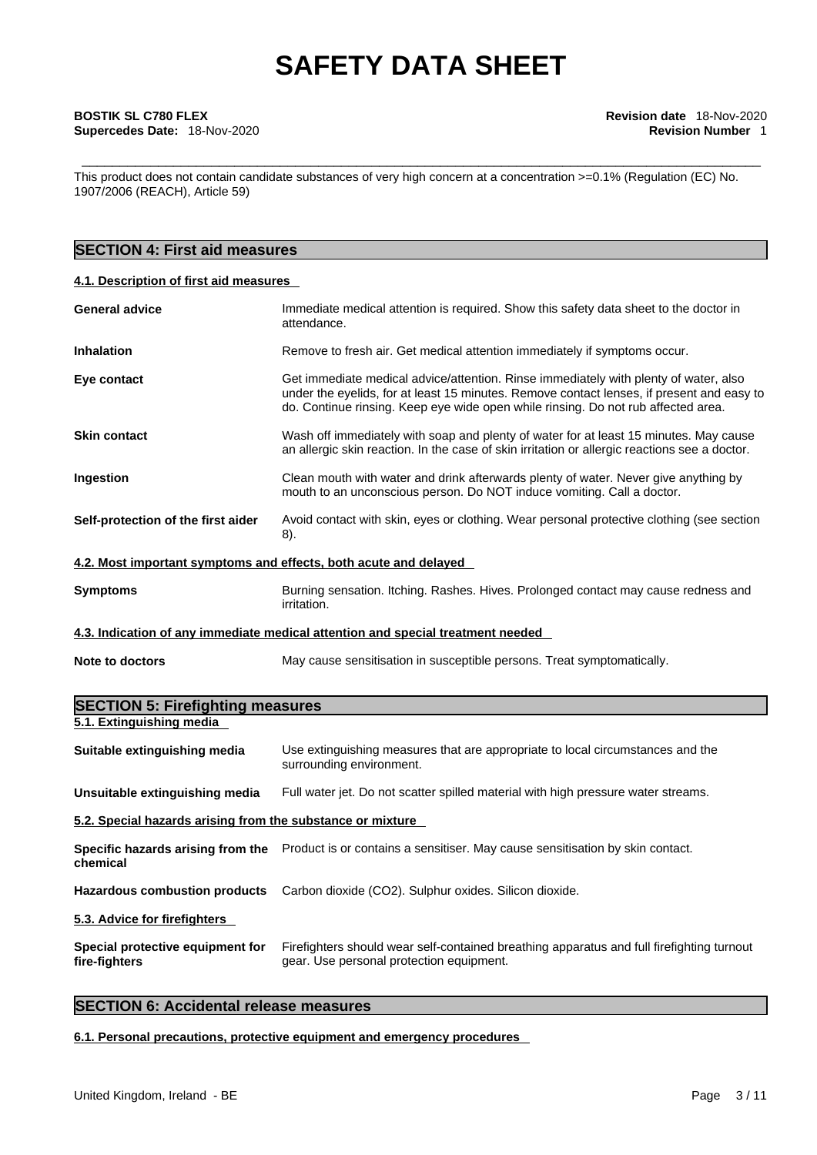## \_\_\_\_\_\_\_\_\_\_\_\_\_\_\_\_\_\_\_\_\_\_\_\_\_\_\_\_\_\_\_\_\_\_\_\_\_\_\_\_\_\_\_\_\_\_\_\_\_\_\_\_\_\_\_\_\_\_\_\_\_\_\_\_\_\_\_\_\_\_\_\_\_\_\_\_\_\_\_\_\_\_\_\_\_\_\_\_\_ **BOSTIK SL C780 FLEX Revision date** 18-Nov-2020 **Supercedes Date:** 18-Nov-2020 **Revision Number** 1

This product does not contain candidate substances of very high concern at a concentration >=0.1% (Regulation (EC) No. 1907/2006 (REACH), Article 59)

### **SECTION 4: First aid measures**

#### **4.1. Description of first aid measures**

| <b>General advice</b>                                            | Immediate medical attention is required. Show this safety data sheet to the doctor in<br>attendance.                                                                                                                                                                   |
|------------------------------------------------------------------|------------------------------------------------------------------------------------------------------------------------------------------------------------------------------------------------------------------------------------------------------------------------|
| <b>Inhalation</b>                                                | Remove to fresh air. Get medical attention immediately if symptoms occur.                                                                                                                                                                                              |
| Eye contact                                                      | Get immediate medical advice/attention. Rinse immediately with plenty of water, also<br>under the eyelids, for at least 15 minutes. Remove contact lenses, if present and easy to<br>do. Continue rinsing. Keep eye wide open while rinsing. Do not rub affected area. |
| <b>Skin contact</b>                                              | Wash off immediately with soap and plenty of water for at least 15 minutes. May cause<br>an allergic skin reaction. In the case of skin irritation or allergic reactions see a doctor.                                                                                 |
| Ingestion                                                        | Clean mouth with water and drink afterwards plenty of water. Never give anything by<br>mouth to an unconscious person. Do NOT induce vomiting. Call a doctor.                                                                                                          |
| Self-protection of the first aider                               | Avoid contact with skin, eyes or clothing. Wear personal protective clothing (see section<br>8).                                                                                                                                                                       |
| 4.2. Most important symptoms and effects, both acute and delayed |                                                                                                                                                                                                                                                                        |
| <b>Symptoms</b>                                                  | Burning sensation. Itching. Rashes. Hives. Prolonged contact may cause redness and<br>irritation.                                                                                                                                                                      |
|                                                                  | 4.3. Indication of any immediate medical attention and special treatment needed                                                                                                                                                                                        |
| Note to doctors                                                  | May cause sensitisation in susceptible persons. Treat symptomatically.                                                                                                                                                                                                 |
|                                                                  |                                                                                                                                                                                                                                                                        |

| <b>SECTION 5: Firefighting measures</b>                    |                                                                                                                                       |
|------------------------------------------------------------|---------------------------------------------------------------------------------------------------------------------------------------|
| 5.1. Extinguishing media                                   |                                                                                                                                       |
| Suitable extinguishing media                               | Use extinguishing measures that are appropriate to local circumstances and the<br>surrounding environment.                            |
| Unsuitable extinguishing media                             | Full water jet. Do not scatter spilled material with high pressure water streams.                                                     |
| 5.2. Special hazards arising from the substance or mixture |                                                                                                                                       |
| chemical                                                   | Specific hazards arising from the Product is or contains a sensitiser. May cause sensitisation by skin contact.                       |
| <b>Hazardous combustion products</b>                       | Carbon dioxide (CO2). Sulphur oxides. Silicon dioxide.                                                                                |
| 5.3. Advice for firefighters                               |                                                                                                                                       |
| Special protective equipment for<br>fire-fighters          | Firefighters should wear self-contained breathing apparatus and full firefighting turnout<br>gear. Use personal protection equipment. |

### **SECTION 6: Accidental release measures**

**6.1. Personal precautions, protective equipment and emergency procedures**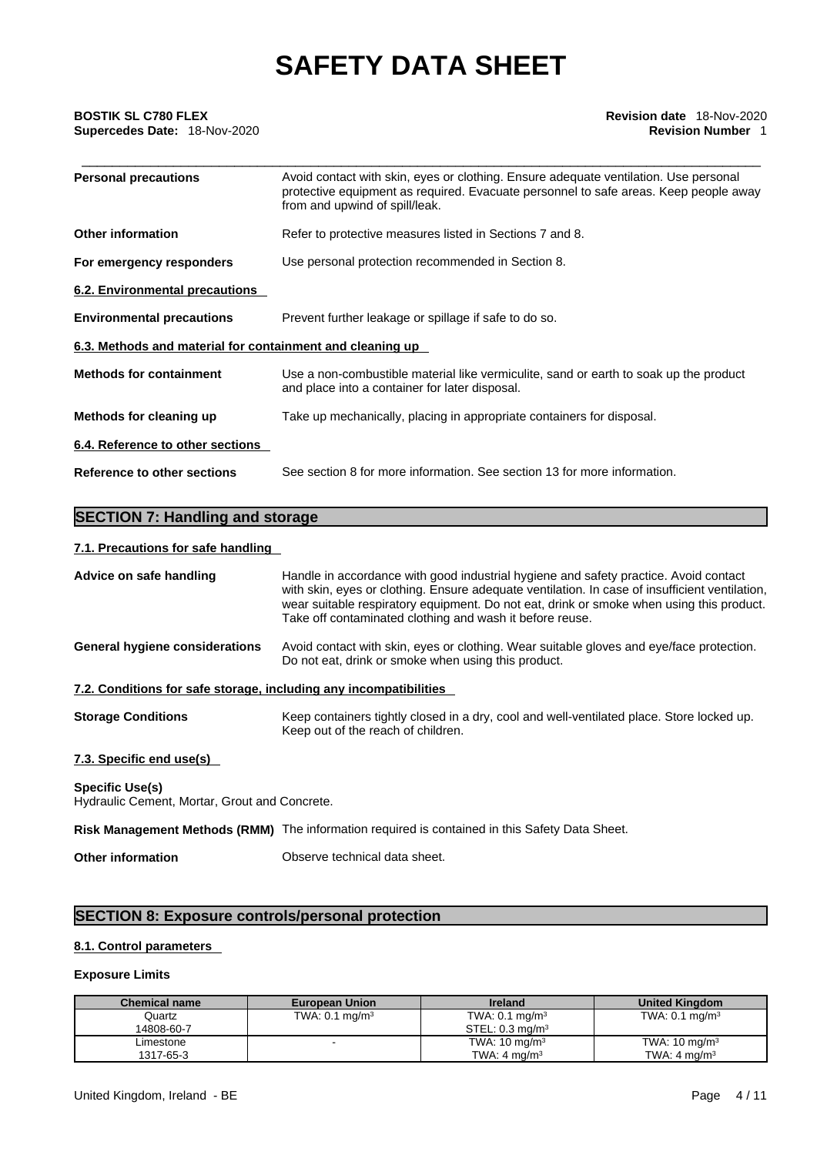# \_\_\_\_\_\_\_\_\_\_\_\_\_\_\_\_\_\_\_\_\_\_\_\_\_\_\_\_\_\_\_\_\_\_\_\_\_\_\_\_\_\_\_\_\_\_\_\_\_\_\_\_\_\_\_\_\_\_\_\_\_\_\_\_\_\_\_\_\_\_\_\_\_\_\_\_\_\_\_\_\_\_\_\_\_\_\_\_\_ **BOSTIK SL C780 FLEX Revision date** 18-Nov-2020 **Supercedes Date:** 18-Nov-2020 **Revision Number** 1

| <b>Personal precautions</b>                               | Avoid contact with skin, eyes or clothing. Ensure adequate ventilation. Use personal<br>protective equipment as required. Evacuate personnel to safe areas. Keep people away<br>from and upwind of spill/leak. |
|-----------------------------------------------------------|----------------------------------------------------------------------------------------------------------------------------------------------------------------------------------------------------------------|
| <b>Other information</b>                                  | Refer to protective measures listed in Sections 7 and 8.                                                                                                                                                       |
| For emergency responders                                  | Use personal protection recommended in Section 8.                                                                                                                                                              |
| 6.2. Environmental precautions                            |                                                                                                                                                                                                                |
| <b>Environmental precautions</b>                          | Prevent further leakage or spillage if safe to do so.                                                                                                                                                          |
| 6.3. Methods and material for containment and cleaning up |                                                                                                                                                                                                                |
| <b>Methods for containment</b>                            | Use a non-combustible material like vermiculite, sand or earth to soak up the product<br>and place into a container for later disposal.                                                                        |
| Methods for cleaning up                                   | Take up mechanically, placing in appropriate containers for disposal.                                                                                                                                          |
| 6.4. Reference to other sections                          |                                                                                                                                                                                                                |
| <b>Reference to other sections</b>                        | See section 8 for more information. See section 13 for more information.                                                                                                                                       |

### **SECTION 7: Handling and storage**

#### **7.1. Precautions for safe handling**

| Advice on safe handling                                                 | Handle in accordance with good industrial hygiene and safety practice. Avoid contact<br>with skin, eyes or clothing. Ensure adequate ventilation. In case of insufficient ventilation,<br>wear suitable respiratory equipment. Do not eat, drink or smoke when using this product.<br>Take off contaminated clothing and wash it before reuse. |
|-------------------------------------------------------------------------|------------------------------------------------------------------------------------------------------------------------------------------------------------------------------------------------------------------------------------------------------------------------------------------------------------------------------------------------|
| <b>General hygiene considerations</b>                                   | Avoid contact with skin, eyes or clothing. Wear suitable gloves and eye/face protection.<br>Do not eat, drink or smoke when using this product.                                                                                                                                                                                                |
| 7.2. Conditions for safe storage, including any incompatibilities       |                                                                                                                                                                                                                                                                                                                                                |
| <b>Storage Conditions</b>                                               | Keep containers tightly closed in a dry, cool and well-ventilated place. Store locked up.<br>Keep out of the reach of children.                                                                                                                                                                                                                |
| 7.3. Specific end use(s)                                                |                                                                                                                                                                                                                                                                                                                                                |
| <b>Specific Use(s)</b><br>Hydraulic Cement, Mortar, Grout and Concrete. |                                                                                                                                                                                                                                                                                                                                                |

**Risk Management Methods (RMM)** The information required is contained in this Safety Data Sheet.

**Other information** Observe technical data sheet.

### **SECTION 8: Exposure controls/personal protection**

#### **8.1. Control parameters**

#### **Exposure Limits**

| <b>Chemical name</b> | <b>European Union</b>     | <b>Ireland</b>                | <b>United Kingdom</b>     |
|----------------------|---------------------------|-------------------------------|---------------------------|
| Quartz               | TWA: $0.1 \text{ mg/m}^3$ | TWA: $0.1 \text{ mg/m}^3$     | TWA: $0.1 \text{ mg/m}^3$ |
| 14808-60-7           |                           | $STEL: 0.3$ ma/m <sup>3</sup> |                           |
| Limestone            |                           | TWA: $10 \text{ mg/m}^3$      | TWA: $10 \text{ mg/m}^3$  |
| 1317-65-3            |                           | TWA: $4 \text{ ma/m}^3$       | TWA: $4 \text{ ma/m}^3$   |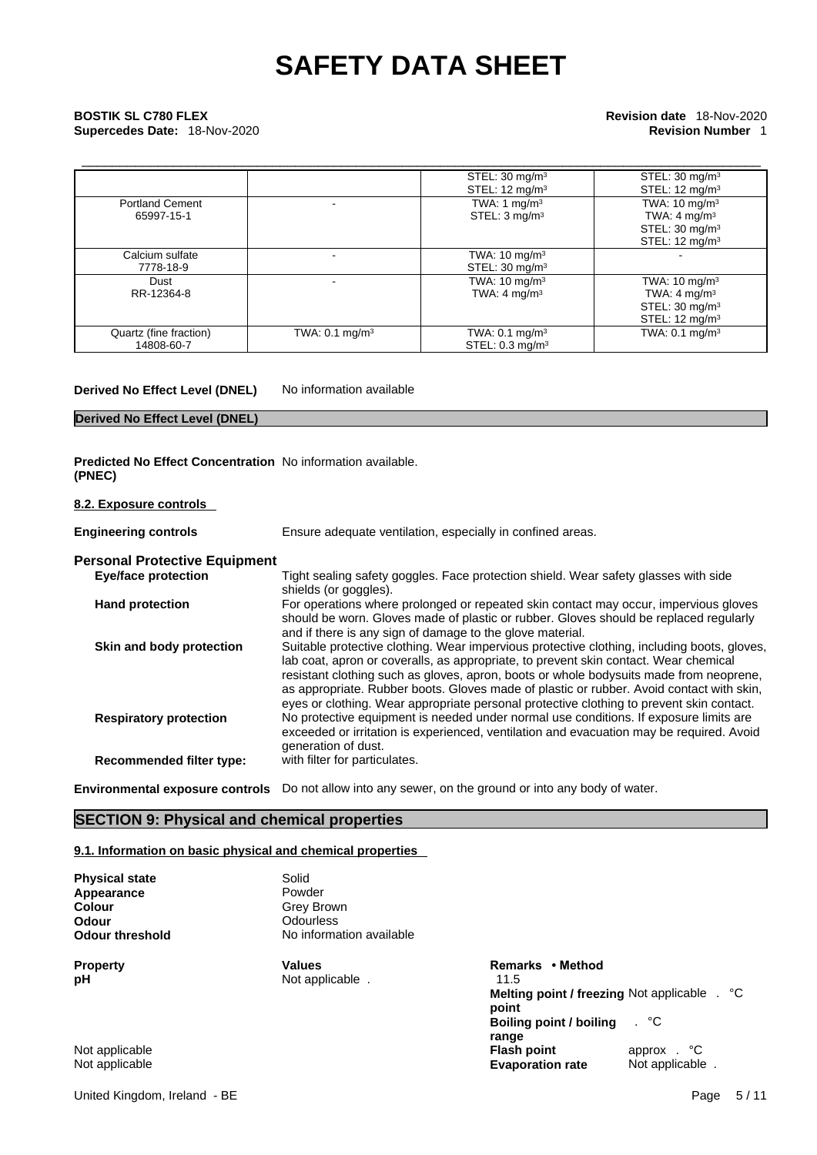# \_\_\_\_\_\_\_\_\_\_\_\_\_\_\_\_\_\_\_\_\_\_\_\_\_\_\_\_\_\_\_\_\_\_\_\_\_\_\_\_\_\_\_\_\_\_\_\_\_\_\_\_\_\_\_\_\_\_\_\_\_\_\_\_\_\_\_\_\_\_\_\_\_\_\_\_\_\_\_\_\_\_\_\_\_\_\_\_\_ **BOSTIK SL C780 FLEX Revision date** 18-Nov-2020 **Supercedes Date:** 18-Nov-2020 **Revision Number** 1

|                        |                              | STEL: $30 \text{ mg/m}^3$  | STEL: $30 \text{ mg/m}^3$  |
|------------------------|------------------------------|----------------------------|----------------------------|
|                        |                              | STEL: $12 \text{ mg/m}^3$  | STEL: $12 \text{ mg/m}^3$  |
| <b>Portland Cement</b> |                              | TWA: 1 $mq/m3$             | TWA: $10 \text{ mg/m}^3$   |
| 65997-15-1             |                              | STEL: 3 mg/m <sup>3</sup>  | TWA: $4 \text{ mg/m}^3$    |
|                        |                              |                            | STEL: $30 \text{ mg/m}^3$  |
|                        |                              |                            | STEL: $12 \text{ mg/m}^3$  |
| Calcium sulfate        |                              | TWA: $10 \text{ mg/m}^3$   |                            |
| 7778-18-9              |                              | STEL: 30 mg/m <sup>3</sup> |                            |
| Dust                   |                              | TWA: $10 \text{ mg/m}^3$   | TWA: $10 \text{ mg/m}^3$   |
| RR-12364-8             |                              | TWA: $4 \text{ mg/m}^3$    | TWA: $4 \text{ mg/m}^3$    |
|                        |                              |                            | STEL: 30 mg/m <sup>3</sup> |
|                        |                              |                            | STEL: $12 \text{ mg/m}^3$  |
| Quartz (fine fraction) | TWA: $0.1$ mg/m <sup>3</sup> | TWA: $0.1 \text{ mg/m}^3$  | TWA: $0.1 \text{ mg/m}^3$  |
| 14808-60-7             |                              | STEL: $0.3 \text{ mg/m}^3$ |                            |

**Derived No Effect Level (DNEL)** No information available

### **Derived No Effect Level (DNEL)**

**Predicted No Effect Concentration** No information available. **(PNEC)** 

**8.2. Exposure controls** 

| <b>Engineering controls</b>          | Ensure adequate ventilation, especially in confined areas.                                                                                                                                                                                                                                                                                                                                                                                                            |
|--------------------------------------|-----------------------------------------------------------------------------------------------------------------------------------------------------------------------------------------------------------------------------------------------------------------------------------------------------------------------------------------------------------------------------------------------------------------------------------------------------------------------|
| <b>Personal Protective Equipment</b> |                                                                                                                                                                                                                                                                                                                                                                                                                                                                       |
| <b>Eye/face protection</b>           | Tight sealing safety goggles. Face protection shield. Wear safety glasses with side<br>shields (or goggles).                                                                                                                                                                                                                                                                                                                                                          |
| <b>Hand protection</b>               | For operations where prolonged or repeated skin contact may occur, impervious gloves<br>should be worn. Gloves made of plastic or rubber. Gloves should be replaced regularly<br>and if there is any sign of damage to the glove material.                                                                                                                                                                                                                            |
| Skin and body protection             | Suitable protective clothing. Wear impervious protective clothing, including boots, gloves,<br>lab coat, apron or coveralls, as appropriate, to prevent skin contact. Wear chemical<br>resistant clothing such as gloves, apron, boots or whole bodysuits made from neoprene,<br>as appropriate. Rubber boots. Gloves made of plastic or rubber. Avoid contact with skin,<br>eyes or clothing. Wear appropriate personal protective clothing to prevent skin contact. |
| <b>Respiratory protection</b>        | No protective equipment is needed under normal use conditions. If exposure limits are<br>exceeded or irritation is experienced, ventilation and evacuation may be required. Avoid<br>generation of dust.                                                                                                                                                                                                                                                              |
| <b>Recommended filter type:</b>      | with filter for particulates.                                                                                                                                                                                                                                                                                                                                                                                                                                         |
|                                      | $\mathcal{L}$ , and $\mathcal{L}$ , and $\mathcal{L}$ , and $\mathcal{L}$ , and $\mathcal{L}$ , and $\mathcal{L}$ , and $\mathcal{L}$ , and $\mathcal{L}$ , and $\mathcal{L}$ , and $\mathcal{L}$ , and $\mathcal{L}$ , and $\mathcal{L}$ , and $\mathcal{L}$ , and $\mathcal{L}$ , and $\mathcal{L}$ ,                                                                                                                                                               |

**Environmental exposure controls** Do not allow into any sewer, on the ground or into any body of water.

### **SECTION 9: Physical and chemical properties**

#### **9.1. Information on basic physical and chemical properties**

| Solid                    |                                              |
|--------------------------|----------------------------------------------|
| Powder                   |                                              |
| Grey Brown               |                                              |
| Odourless                |                                              |
| No information available |                                              |
| <b>Values</b>            | Remarks • Method                             |
|                          | 11.5                                         |
|                          | Melting point / freezing Not applicable . °C |
|                          | point                                        |
|                          | . °C<br><b>Boiling point / boiling</b>       |
|                          | range                                        |
|                          | Not applicable.                              |

Not applicable **Flash point** approx . °C Not applicable **Evaporation rate** Not applicable .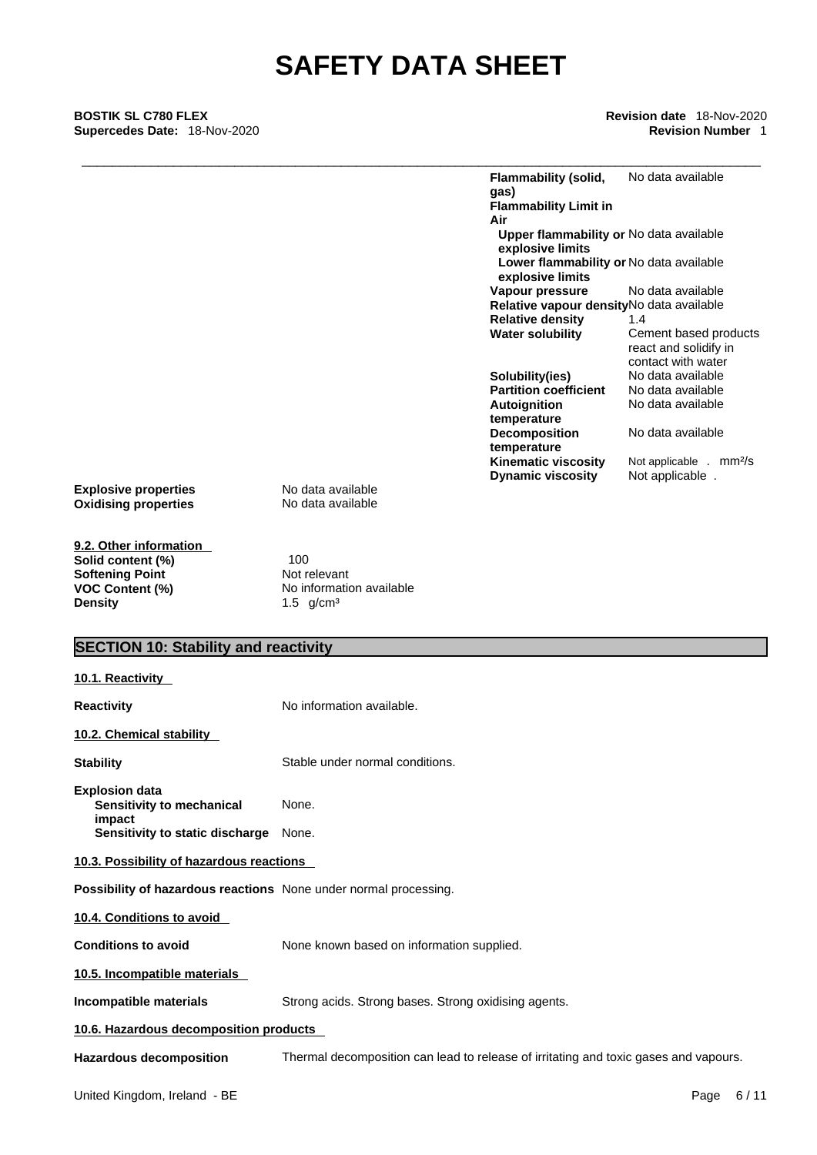\_\_\_\_\_\_\_\_\_\_\_\_\_\_\_\_\_\_\_\_\_\_\_\_\_\_\_\_\_\_\_\_\_\_\_\_\_\_\_\_\_\_\_\_\_\_\_\_\_\_\_\_\_\_\_\_\_\_\_\_\_\_\_\_\_\_\_\_\_\_\_\_\_\_\_\_\_\_\_\_\_\_\_\_\_\_\_\_\_ **BOSTIK SL C780 FLEX Revision date** 18-Nov-2020 **Supercedes Date:** 18-Nov-2020 **Revision Number** 1

| Flammability (solid,<br>gas)<br><b>Flammability Limit in</b> | No data available                                                    |
|--------------------------------------------------------------|----------------------------------------------------------------------|
| Air                                                          |                                                                      |
|                                                              |                                                                      |
|                                                              | <b>Upper flammability or No data available</b>                       |
| explosive limits                                             |                                                                      |
| explosive limits                                             | Lower flammability or No data available                              |
| Vapour pressure                                              | No data available                                                    |
|                                                              | Relative vapour density No data available                            |
| <b>Relative density</b>                                      | 1.4                                                                  |
| <b>Water solubility</b>                                      | Cement based products<br>react and solidify in<br>contact with water |
| Solubility(ies)                                              | No data available                                                    |
| <b>Partition coefficient</b>                                 | No data available                                                    |
| Autoignition<br>temperature                                  | No data available                                                    |
| <b>Decomposition</b><br>temperature                          | No data available                                                    |
| <b>Kinematic viscosity</b>                                   | Not applicable . mm <sup>2</sup> /s                                  |
| <b>Dynamic viscosity</b>                                     | Not applicable.                                                      |
|                                                              |                                                                      |

**Explosive properties**<br> **Oxidising properties**<br> **Oxidising properties**<br> **No data available Oxidising properties** 

**9.2. Other information Softening Point** Not relevant<br> **VOC Content (%)** No information

**Solid content (%)** 100 **VOC Content (%)**<br> **Density**<br> **Content (%)**<br> **Content Content Content Content Content Content Content Content Content Content Content Content Content Content Content Content Content Cont** 1.5 g/cm<sup>3</sup>

### **SECTION 10: Stability and reactivity**

| 10.1. Reactivity                                                                                |                                                                                      |  |  |
|-------------------------------------------------------------------------------------------------|--------------------------------------------------------------------------------------|--|--|
| <b>Reactivity</b>                                                                               | No information available.                                                            |  |  |
| 10.2. Chemical stability                                                                        |                                                                                      |  |  |
| <b>Stability</b>                                                                                | Stable under normal conditions.                                                      |  |  |
| <b>Explosion data</b><br>Sensitivity to mechanical<br>impact<br>Sensitivity to static discharge | None.<br>None.                                                                       |  |  |
| 10.3. Possibility of hazardous reactions                                                        |                                                                                      |  |  |
| Possibility of hazardous reactions None under normal processing.                                |                                                                                      |  |  |
| 10.4. Conditions to avoid                                                                       |                                                                                      |  |  |
| <b>Conditions to avoid</b>                                                                      | None known based on information supplied.                                            |  |  |
| 10.5. Incompatible materials                                                                    |                                                                                      |  |  |
| Incompatible materials                                                                          | Strong acids. Strong bases. Strong oxidising agents.                                 |  |  |
| 10.6. Hazardous decomposition products                                                          |                                                                                      |  |  |
| <b>Hazardous decomposition</b>                                                                  | Thermal decomposition can lead to release of irritating and toxic gases and vapours. |  |  |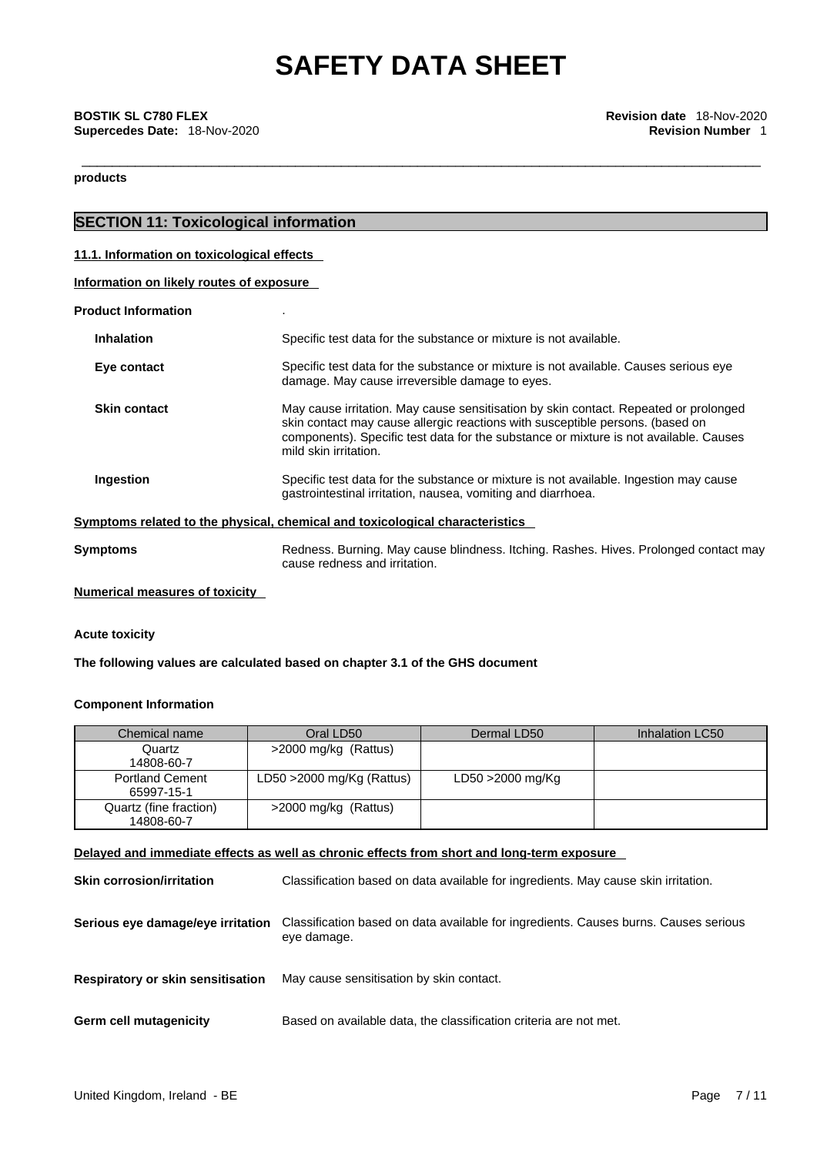**products** 

### **SECTION 11: Toxicological information**

#### **11.1. Information on toxicological effects**

| Information on likely routes of exposure |
|------------------------------------------|
|------------------------------------------|

#### **Product Information** .

| <b>Inhalation</b>   | Specific test data for the substance or mixture is not available.                                                                                                                                                                                                                       |
|---------------------|-----------------------------------------------------------------------------------------------------------------------------------------------------------------------------------------------------------------------------------------------------------------------------------------|
| Eye contact         | Specific test data for the substance or mixture is not available. Causes serious eye<br>damage. May cause irreversible damage to eyes.                                                                                                                                                  |
| <b>Skin contact</b> | May cause irritation. May cause sensitisation by skin contact. Repeated or prolonged<br>skin contact may cause allergic reactions with susceptible persons. (based on<br>components). Specific test data for the substance or mixture is not available. Causes<br>mild skin irritation. |
| Ingestion           | Specific test data for the substance or mixture is not available. Ingestion may cause<br>gastrointestinal irritation, nausea, vomiting and diarrhoea.                                                                                                                                   |

**Symptoms Redness. Burning. May cause blindness. Itching. Rashes. Hives. Prolonged contact may** cause redness and irritation.

#### **Numerical measures of toxicity**

#### **Acute toxicity**

**The following values are calculated based on chapter 3.1 of the GHS document**

#### **Component Information**

| Chemical name                        | Oral LD50                    | Dermal LD50      | Inhalation LC50 |
|--------------------------------------|------------------------------|------------------|-----------------|
| Quartz<br>14808-60-7                 | >2000 mg/kg (Rattus)         |                  |                 |
| <b>Portland Cement</b><br>65997-15-1 | LD50 $>$ 2000 mg/Kg (Rattus) | LD50 >2000 mg/Kg |                 |
| Quartz (fine fraction)<br>14808-60-7 | >2000 mg/kg (Rattus)         |                  |                 |

### **Delayed and immediate effects as well as chronic effects from short and long-term exposure**

| <b>Skin corrosion/irritation</b>         | Classification based on data available for ingredients. May cause skin irritation.                  |
|------------------------------------------|-----------------------------------------------------------------------------------------------------|
| Serious eye damage/eye irritation        | Classification based on data available for ingredients. Causes burns. Causes serious<br>eye damage. |
| <b>Respiratory or skin sensitisation</b> | May cause sensitisation by skin contact.                                                            |
| Germ cell mutagenicity                   | Based on available data, the classification criteria are not met.                                   |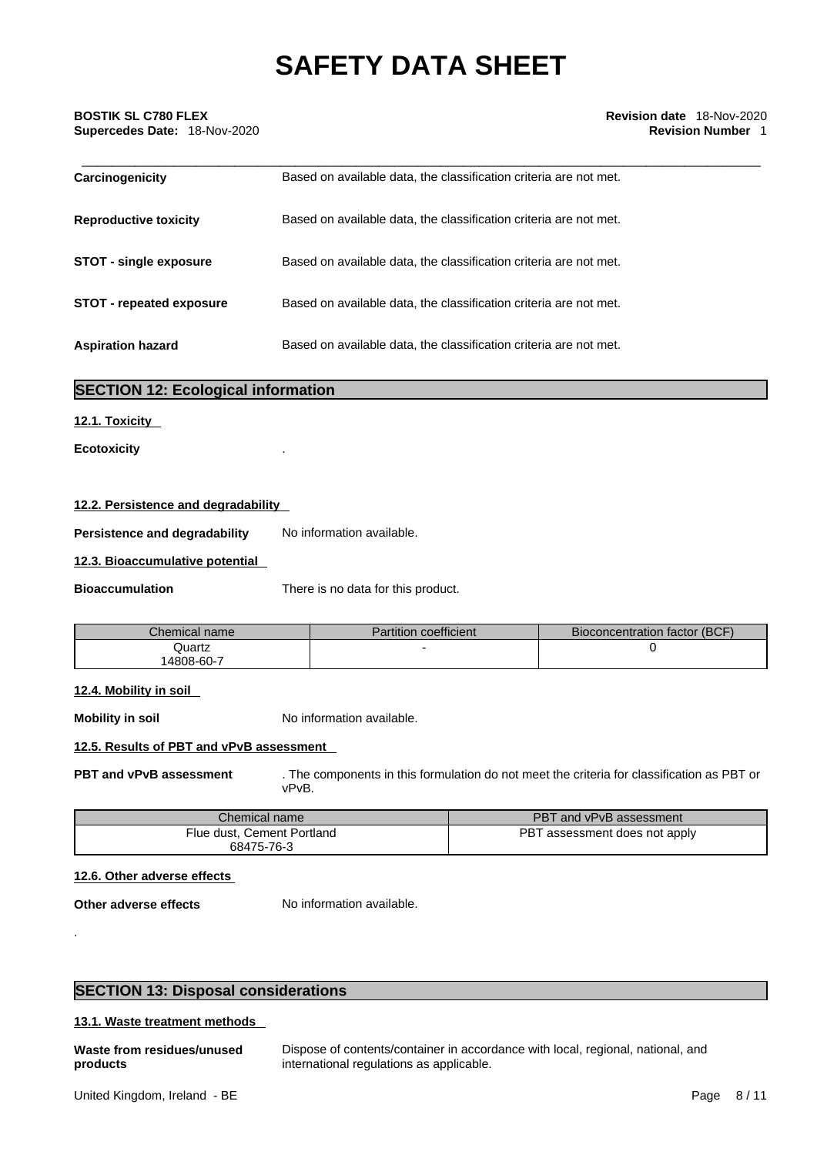| Carcinogenicity                 | Based on available data, the classification criteria are not met. |  |
|---------------------------------|-------------------------------------------------------------------|--|
| <b>Reproductive toxicity</b>    | Based on available data, the classification criteria are not met. |  |
| <b>STOT - single exposure</b>   | Based on available data, the classification criteria are not met. |  |
| <b>STOT - repeated exposure</b> | Based on available data, the classification criteria are not met. |  |
| <b>Aspiration hazard</b>        | Based on available data, the classification criteria are not met. |  |

### **SECTION 12: Ecological information**

#### **12.1. Toxicity**

**Ecotoxicity** .

#### **12.2. Persistence and degradability**

**Persistence and degradability** No information available.

#### **12.3. Bioaccumulative potential**

**Bioaccumulation** There is no data for this product.

| Chemical name       | $\cdots$<br>Partition<br>coefficient | Bioconcentration factor (BCF) |
|---------------------|--------------------------------------|-------------------------------|
| Quartz<br>4808-60-7 |                                      |                               |

#### **12.4. Mobility in soil**

**Mobility in soil** No information available.

### **12.5. Results of PBT and vPvB assessment**

**PBT and vPvB assessment** . The components in this formulation do not meet the criteria for classification as PBT or vPvB.

| Chemical name l                          | PBT and vPvB assessment       |
|------------------------------------------|-------------------------------|
| Flue dust, Cement Portland<br>68475-76-3 | PBT assessment does not apply |

#### **12.6. Other adverse effects**

**Other adverse effects** No information available.

.

### **SECTION 13: Disposal considerations**

#### **13.1. Waste treatment methods**

| Waste from residues/unused | Dispose of contents/container in accordance with local, regional, national, and |
|----------------------------|---------------------------------------------------------------------------------|
| products                   | international regulations as applicable.                                        |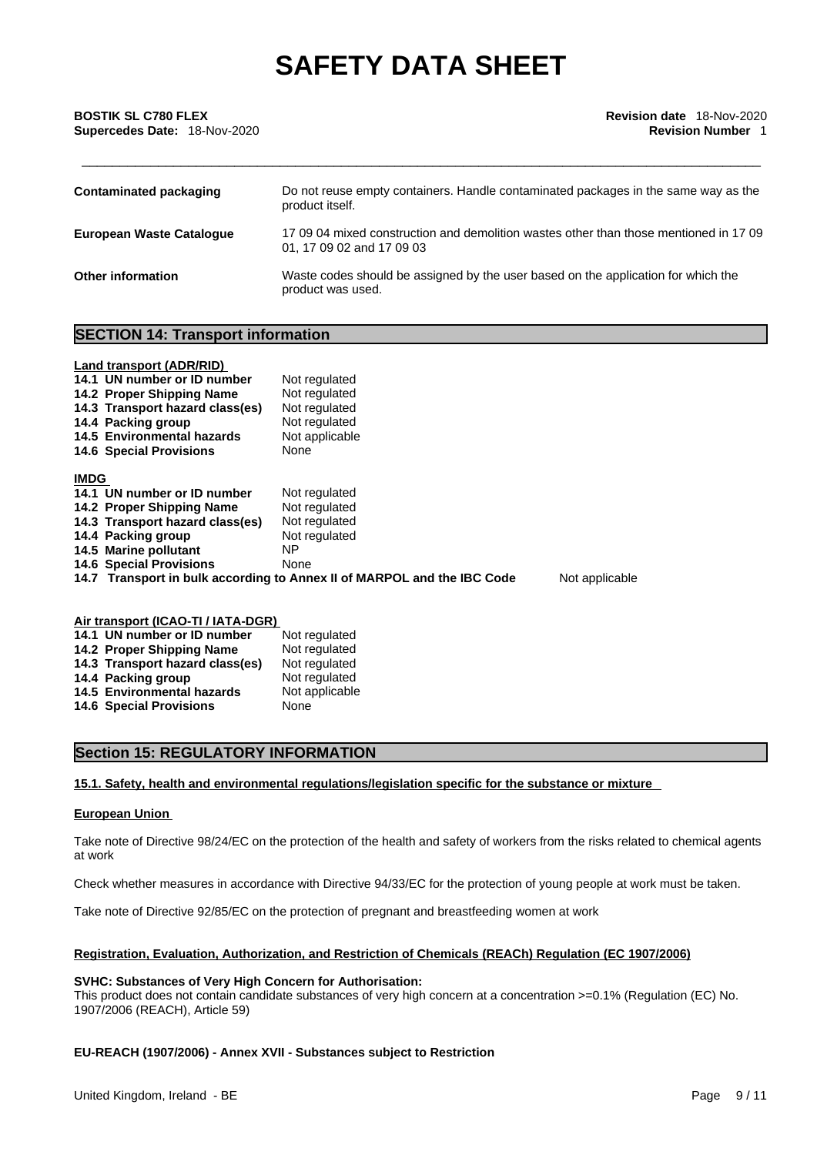| Contaminated packaging          | Do not reuse empty containers. Handle contaminated packages in the same way as the<br>product itself.              |
|---------------------------------|--------------------------------------------------------------------------------------------------------------------|
| <b>European Waste Cataloque</b> | 17 09 04 mixed construction and demolition wastes other than those mentioned in 17 09<br>01, 17 09 02 and 17 09 03 |
| <b>Other information</b>        | Waste codes should be assigned by the user based on the application for which the<br>product was used.             |

#### **SECTION 14: Transport information**

|             | Land transport (ADR/RID)<br>14.1 UN number or ID number<br>14.2 Proper Shipping Name<br>14.3 Transport hazard class(es)<br>14.4 Packing group<br>14.5 Environmental hazards<br><b>14.6 Special Provisions</b> | Not regulated<br>Not regulated<br>Not regulated<br>Not regulated<br>Not applicable<br>None |                |
|-------------|---------------------------------------------------------------------------------------------------------------------------------------------------------------------------------------------------------------|--------------------------------------------------------------------------------------------|----------------|
| <b>IMDG</b> |                                                                                                                                                                                                               |                                                                                            |                |
|             | 14.1 UN number or ID number                                                                                                                                                                                   | Not regulated                                                                              |                |
|             | 14.2 Proper Shipping Name                                                                                                                                                                                     | Not regulated                                                                              |                |
|             | 14.3 Transport hazard class(es)                                                                                                                                                                               | Not regulated                                                                              |                |
|             | 14.4 Packing group                                                                                                                                                                                            | Not regulated                                                                              |                |
|             | 14.5 Marine pollutant                                                                                                                                                                                         | NΡ                                                                                         |                |
|             | <b>14.6 Special Provisions</b>                                                                                                                                                                                | None                                                                                       |                |
|             |                                                                                                                                                                                                               | 14.7 Transport in bulk according to Annex II of MARPOL and the IBC Code                    | Not applicable |

### **Air transport (ICAO-TI / IATA-DGR)**

| 14.1 UN number or ID number     | Not regulated  |
|---------------------------------|----------------|
| 14.2 Proper Shipping Name       | Not regulated  |
| 14.3 Transport hazard class(es) | Not regulated  |
| 14.4 Packing group              | Not regulated  |
| 14.5 Environmental hazards      | Not applicable |
| <b>14.6 Special Provisions</b>  | None           |
|                                 |                |

### **Section 15: REGULATORY INFORMATION**

#### **15.1. Safety, health and environmental regulations/legislation specific for the substance or mixture**

#### **European Union**

Take note of Directive 98/24/EC on the protection of the health and safety of workers from the risks related to chemical agents at work

Check whether measures in accordance with Directive 94/33/EC for the protection of young people at work must be taken.

Take note of Directive 92/85/EC on the protection of pregnant and breastfeeding women at work

#### **Registration, Evaluation, Authorization, and Restriction of Chemicals (REACh) Regulation (EC 1907/2006)**

#### **SVHC: Substances of Very High Concern for Authorisation:**

This product does not contain candidate substances of very high concern at a concentration >=0.1% (Regulation (EC) No. 1907/2006 (REACH), Article 59)

#### **EU-REACH (1907/2006) - Annex XVII - Substances subject to Restriction**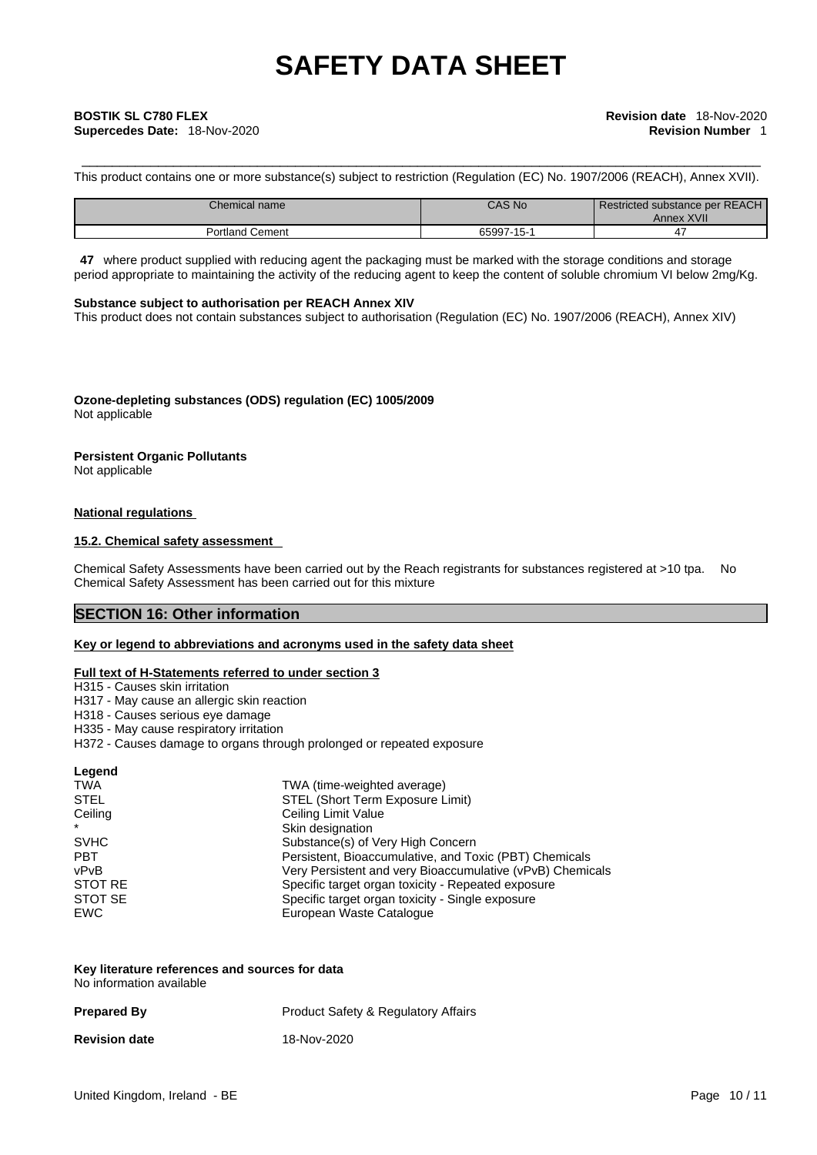# \_\_\_\_\_\_\_\_\_\_\_\_\_\_\_\_\_\_\_\_\_\_\_\_\_\_\_\_\_\_\_\_\_\_\_\_\_\_\_\_\_\_\_\_\_\_\_\_\_\_\_\_\_\_\_\_\_\_\_\_\_\_\_\_\_\_\_\_\_\_\_\_\_\_\_\_\_\_\_\_\_\_\_\_\_\_\_\_\_ **BOSTIK SL C780 FLEX Revision date** 18-Nov-2020 **Supercedes Date:** 18-Nov-2020 **Revision Number** 1

This product contains one or more substance(s) subject to restriction (Regulation (EC) No. 1907/2006 (REACH), Annex XVII).

| Chemical name      | <b>CAS No</b> | Restricted substance per REACH<br>Annex XVII |
|--------------------|---------------|----------------------------------------------|
| Cement<br>Portland | 65997-15-1    |                                              |

**47** where product supplied with reducing agent the packaging must be marked with the storage conditions and storage period appropriate to maintaining the activity of the reducing agent to keep the content of soluble chromium VI below 2mg/Kg.

#### **Substance subject to authorisation per REACH Annex XIV**

This product does not contain substances subject to authorisation (Regulation (EC) No. 1907/2006 (REACH), Annex XIV)

**Ozone-depleting substances (ODS) regulation (EC) 1005/2009** Not applicable

## **Persistent Organic Pollutants**

Not applicable

#### **National regulations**

#### **15.2. Chemical safety assessment**

Chemical Safety Assessments have been carried out by the Reach registrants for substances registered at >10 tpa. No Chemical Safety Assessment has been carried out for this mixture

### **SECTION 16: Other information**

#### **Key or legend to abbreviations and acronyms used in the safety data sheet**

#### **Full text of H-Statements referred to under section 3**

H315 - Causes skin irritation

- H317 May cause an allergic skin reaction
- H318 Causes serious eye damage
- H335 May cause respiratory irritation
- H372 Causes damage to organs through prolonged or repeated exposure

| Legend      |                                                           |
|-------------|-----------------------------------------------------------|
| TWA         | TWA (time-weighted average)                               |
| <b>STEL</b> | STEL (Short Term Exposure Limit)                          |
| Ceiling     | Ceiling Limit Value                                       |
| $\star$     | Skin designation                                          |
| <b>SVHC</b> | Substance(s) of Very High Concern                         |
| <b>PBT</b>  | Persistent, Bioaccumulative, and Toxic (PBT) Chemicals    |
| vPvB        | Very Persistent and very Bioaccumulative (vPvB) Chemicals |
| STOT RE     | Specific target organ toxicity - Repeated exposure        |
| STOT SE     | Specific target organ toxicity - Single exposure          |
| EWC         | European Waste Catalogue                                  |

| Key literature references and sources for data |  |
|------------------------------------------------|--|
| No information available                       |  |

| <b>Prepared By</b>   | <b>Product Safety &amp; Regulatory Affairs</b> |
|----------------------|------------------------------------------------|
| <b>Revision date</b> | 18-Nov-2020                                    |